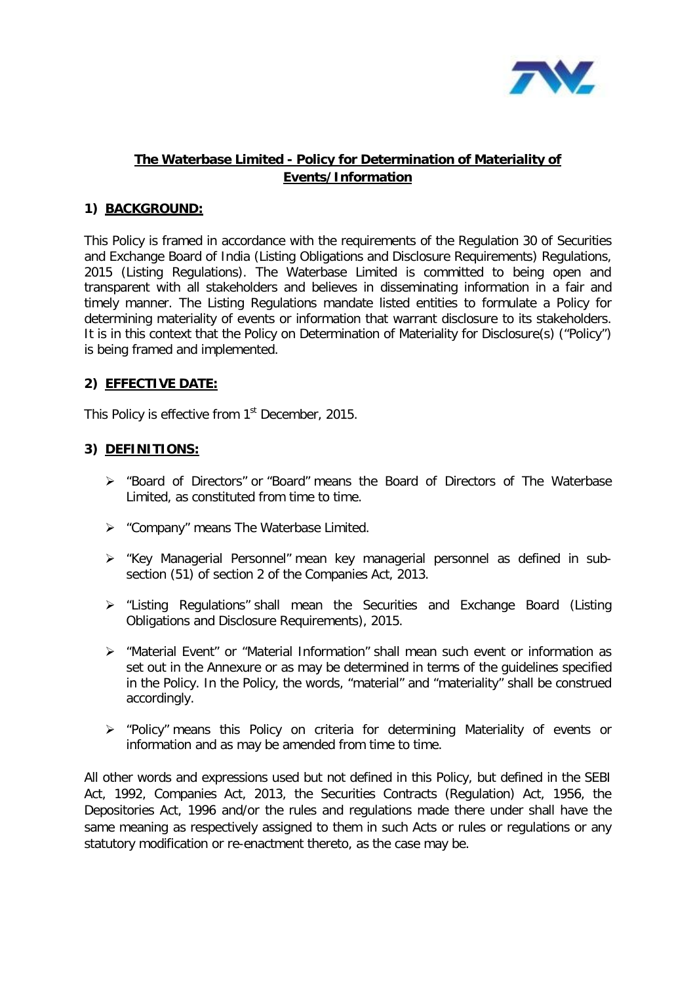

# **The Waterbase Limited - Policy for Determination of Materiality of Events/Information**

## **1) BACKGROUND:**

This Policy is framed in accordance with the requirements of the Regulation 30 of Securities and Exchange Board of India (Listing Obligations and Disclosure Requirements) Regulations, 2015 (Listing Regulations). The Waterbase Limited is committed to being open and transparent with all stakeholders and believes in disseminating information in a fair and timely manner. The Listing Regulations mandate listed entities to formulate a Policy for determining materiality of events or information that warrant disclosure to its stakeholders. It is in this context that the Policy on Determination of Materiality for Disclosure(s) ("Policy") is being framed and implemented.

# **2) EFFECTIVE DATE:**

This Policy is effective from  $1<sup>st</sup>$  December, 2015.

### **3) DEFINITIONS:**

- "Board of Directors" or "Board" means the Board of Directors of The Waterbase Limited, as constituted from time to time.
- $\triangleright$  "Company" means The Waterbase Limited.
- "Key Managerial Personnel" mean key managerial personnel as defined in subsection (51) of section 2 of the Companies Act, 2013.
- "Listing Regulations" shall mean the Securities and Exchange Board (Listing Obligations and Disclosure Requirements), 2015.
- "Material Event" or "Material Information" shall mean such event or information as set out in the Annexure or as may be determined in terms of the guidelines specified in the Policy. In the Policy, the words, "material" and "materiality" shall be construed accordingly.
- $\triangleright$  "Policy" means this Policy on criteria for determining Materiality of events or information and as may be amended from time to time.

All other words and expressions used but not defined in this Policy, but defined in the SEBI Act, 1992, Companies Act, 2013, the Securities Contracts (Regulation) Act, 1956, the Depositories Act, 1996 and/or the rules and regulations made there under shall have the same meaning as respectively assigned to them in such Acts or rules or regulations or any statutory modification or re-enactment thereto, as the case may be.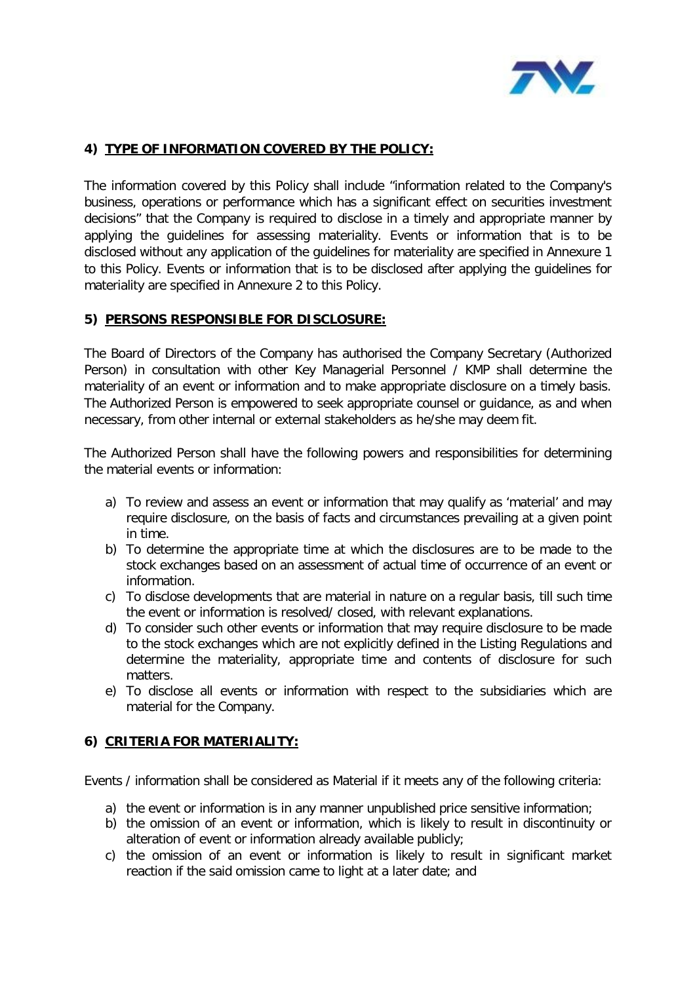

# **4) TYPE OF INFORMATION COVERED BY THE POLICY:**

The information covered by this Policy shall include "information related to the Company's business, operations or performance which has a significant effect on securities investment decisions" that the Company is required to disclose in a timely and appropriate manner by applying the guidelines for assessing materiality. Events or information that is to be disclosed without any application of the guidelines for materiality are specified in Annexure 1 to this Policy. Events or information that is to be disclosed after applying the guidelines for materiality are specified in Annexure 2 to this Policy.

### **5) PERSONS RESPONSIBLE FOR DISCLOSURE:**

The Board of Directors of the Company has authorised the Company Secretary (Authorized Person) in consultation with other Key Managerial Personnel / KMP shall determine the materiality of an event or information and to make appropriate disclosure on a timely basis. The Authorized Person is empowered to seek appropriate counsel or guidance, as and when necessary, from other internal or external stakeholders as he/she may deem fit.

The Authorized Person shall have the following powers and responsibilities for determining the material events or information:

- a) To review and assess an event or information that may qualify as 'material' and may require disclosure, on the basis of facts and circumstances prevailing at a given point in time.
- b) To determine the appropriate time at which the disclosures are to be made to the stock exchanges based on an assessment of actual time of occurrence of an event or information.
- c) To disclose developments that are material in nature on a regular basis, till such time the event or information is resolved/ closed, with relevant explanations.
- d) To consider such other events or information that may require disclosure to be made to the stock exchanges which are not explicitly defined in the Listing Regulations and determine the materiality, appropriate time and contents of disclosure for such matters.
- e) To disclose all events or information with respect to the subsidiaries which are material for the Company.

# **6) CRITERIA FOR MATERIALITY:**

Events / information shall be considered as Material if it meets any of the following criteria:

- a) the event or information is in any manner unpublished price sensitive information;
- b) the omission of an event or information, which is likely to result in discontinuity or alteration of event or information already available publicly;
- c) the omission of an event or information is likely to result in significant market reaction if the said omission came to light at a later date; and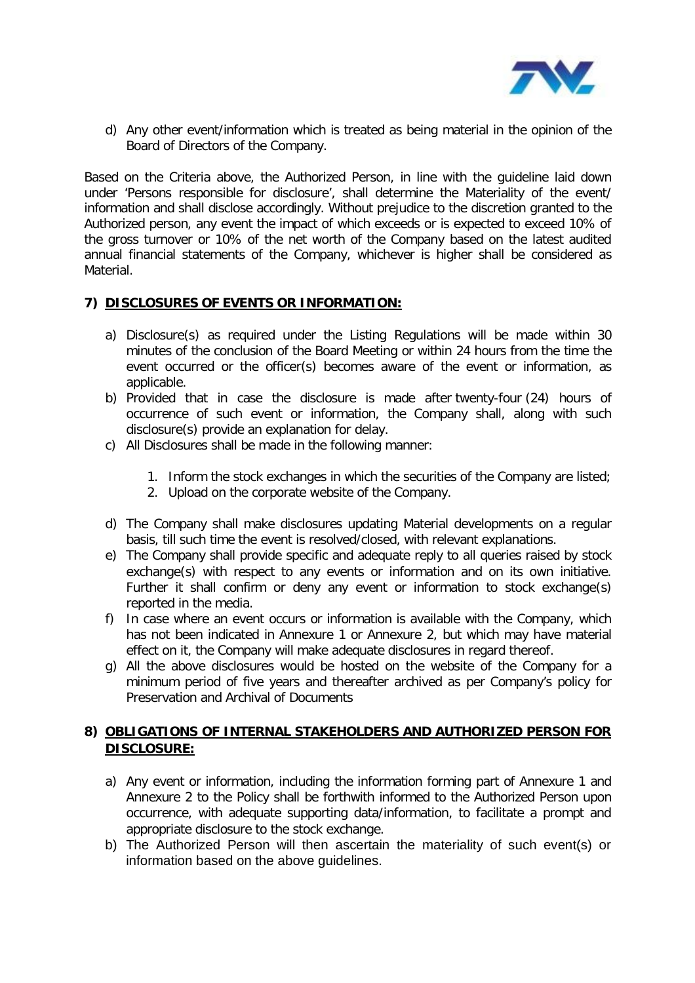

d) Any other event/information which is treated as being material in the opinion of the Board of Directors of the Company.

Based on the Criteria above, the Authorized Person, in line with the guideline laid down under 'Persons responsible for disclosure', shall determine the Materiality of the event/ information and shall disclose accordingly. Without prejudice to the discretion granted to the Authorized person, any event the impact of which exceeds or is expected to exceed 10% of the gross turnover or 10% of the net worth of the Company based on the latest audited annual financial statements of the Company, whichever is higher shall be considered as Material.

### **7) DISCLOSURES OF EVENTS OR INFORMATION:**

- a) Disclosure(s) as required under the Listing Regulations will be made within 30 minutes of the conclusion of the Board Meeting or within 24 hours from the time the event occurred or the officer(s) becomes aware of the event or information, as applicable.
- b) Provided that in case the disclosure is made after twenty-four (24) hours of occurrence of such event or information, the Company shall, along with such disclosure(s) provide an explanation for delay.
- c) All Disclosures shall be made in the following manner:
	- 1. Inform the stock exchanges in which the securities of the Company are listed;
	- 2. Upload on the corporate website of the Company.
- d) The Company shall make disclosures updating Material developments on a regular basis, till such time the event is resolved/closed, with relevant explanations.
- e) The Company shall provide specific and adequate reply to all queries raised by stock exchange(s) with respect to any events or information and on its own initiative. Further it shall confirm or deny any event or information to stock exchange(s) reported in the media.
- f) In case where an event occurs or information is available with the Company, which has not been indicated in Annexure 1 or Annexure 2, but which may have material effect on it, the Company will make adequate disclosures in regard thereof.
- g) All the above disclosures would be hosted on the website of the Company for a minimum period of five years and thereafter archived as per Company's policy for Preservation and Archival of Documents

# **8) OBLIGATIONS OF INTERNAL STAKEHOLDERS AND AUTHORIZED PERSON FOR DISCLOSURE:**

- a) Any event or information, including the information forming part of Annexure 1 and Annexure 2 to the Policy shall be forthwith informed to the Authorized Person upon occurrence, with adequate supporting data/information, to facilitate a prompt and appropriate disclosure to the stock exchange.
- b) The Authorized Person will then ascertain the materiality of such event(s) or information based on the above guidelines.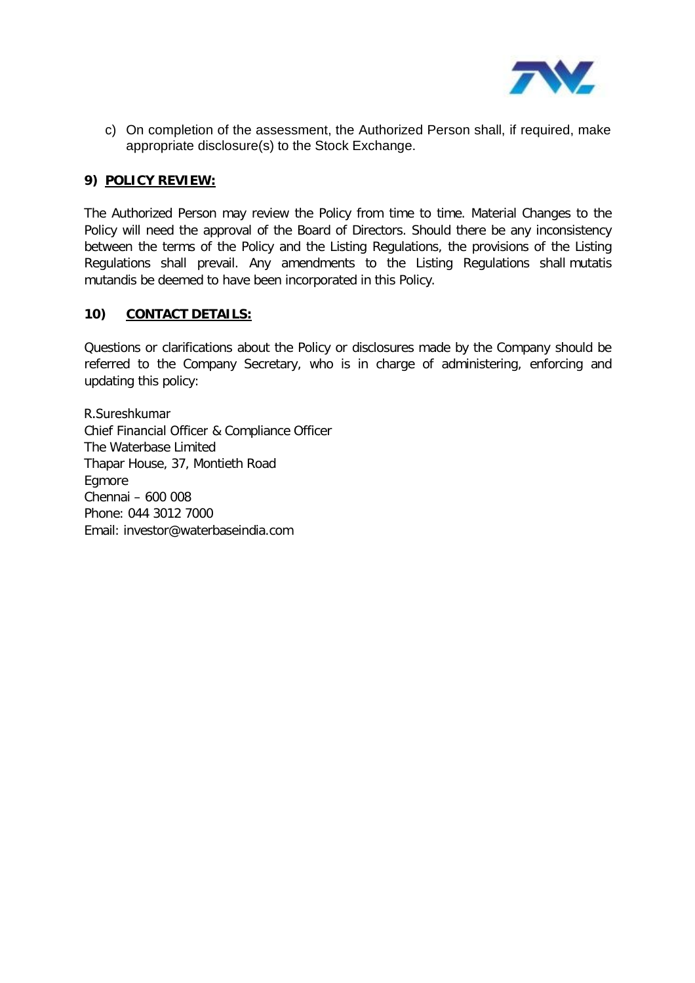

c) On completion of the assessment, the Authorized Person shall, if required, make appropriate disclosure(s) to the Stock Exchange.

#### **9) POLICY REVIEW:**

The Authorized Person may review the Policy from time to time. Material Changes to the Policy will need the approval of the Board of Directors. Should there be any inconsistency between the terms of the Policy and the Listing Regulations, the provisions of the Listing Regulations shall prevail. Any amendments to the Listing Regulations shall mutatis mutandis be deemed to have been incorporated in this Policy.

### **10) CONTACT DETAILS:**

Questions or clarifications about the Policy or disclosures made by the Company should be referred to the Company Secretary, who is in charge of administering, enforcing and updating this policy:

R.Sureshkumar Chief Financial Officer & Compliance Officer The Waterbase Limited Thapar House, 37, Montieth Road Egmore Chennai – 600 008 Phone: 044 3012 7000 Email: investor@waterbaseindia.com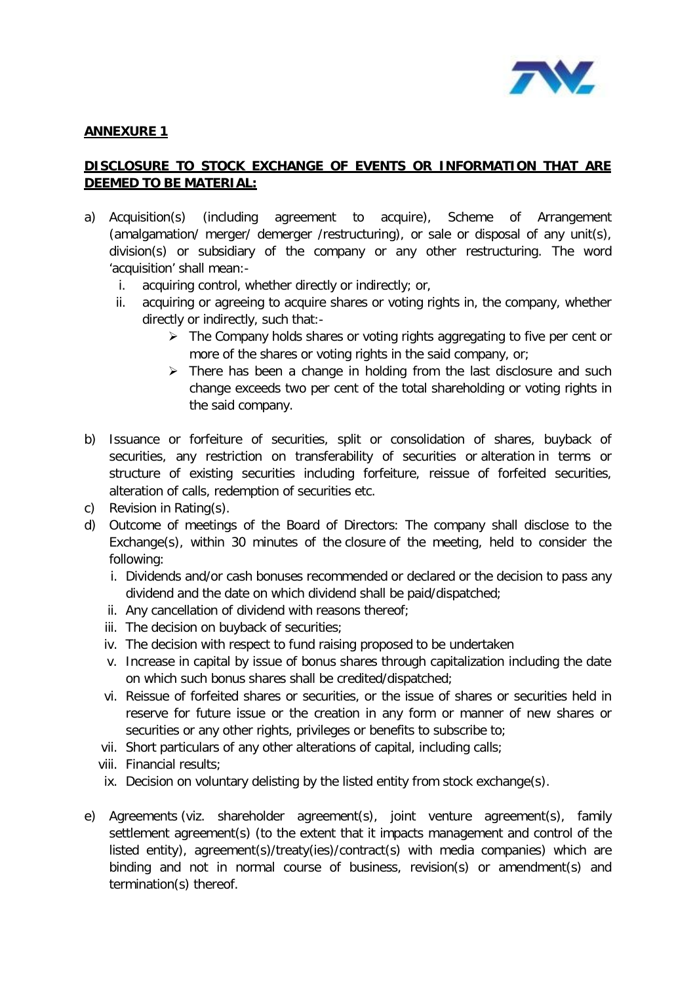

## **ANNEXURE 1**

# **DISCLOSURE TO STOCK EXCHANGE OF EVENTS OR INFORMATION THAT ARE DEEMED TO BE MATERIAL:**

- a) Acquisition(s) (including agreement to acquire), Scheme of Arrangement (amalgamation/ merger/ demerger /restructuring), or sale or disposal of any unit(s), division(s) or subsidiary of the company or any other restructuring. The word 'acquisition' shall mean:
	- i. acquiring control, whether directly or indirectly; or,
	- ii. acquiring or agreeing to acquire shares or voting rights in, the company, whether directly or indirectly, such that:-
		- ▶ The Company holds shares or voting rights aggregating to five per cent or more of the shares or voting rights in the said company, or;
		- $\triangleright$  There has been a change in holding from the last disclosure and such change exceeds two per cent of the total shareholding or voting rights in the said company.
- b) Issuance or forfeiture of securities, split or consolidation of shares, buyback of securities, any restriction on transferability of securities or alteration in terms or structure of existing securities including forfeiture, reissue of forfeited securities, alteration of calls, redemption of securities etc.
- c) Revision in Rating(s).
- d) Outcome of meetings of the Board of Directors: The company shall disclose to the Exchange(s), within 30 minutes of the closure of the meeting, held to consider the following:
	- i. Dividends and/or cash bonuses recommended or declared or the decision to pass any dividend and the date on which dividend shall be paid/dispatched;
	- ii. Any cancellation of dividend with reasons thereof;
	- iii. The decision on buyback of securities;
	- iv. The decision with respect to fund raising proposed to be undertaken
	- v. Increase in capital by issue of bonus shares through capitalization including the date on which such bonus shares shall be credited/dispatched;
	- vi. Reissue of forfeited shares or securities, or the issue of shares or securities held in reserve for future issue or the creation in any form or manner of new shares or securities or any other rights, privileges or benefits to subscribe to;
	- vii. Short particulars of any other alterations of capital, including calls;
	- viii. Financial results;
	- ix. Decision on voluntary delisting by the listed entity from stock exchange(s).
- e) Agreements (viz. shareholder agreement(s), joint venture agreement(s), family settlement agreement(s) (to the extent that it impacts management and control of the listed entity), agreement(s)/treaty(ies)/contract(s) with media companies) which are binding and not in normal course of business, revision(s) or amendment(s) and termination(s) thereof.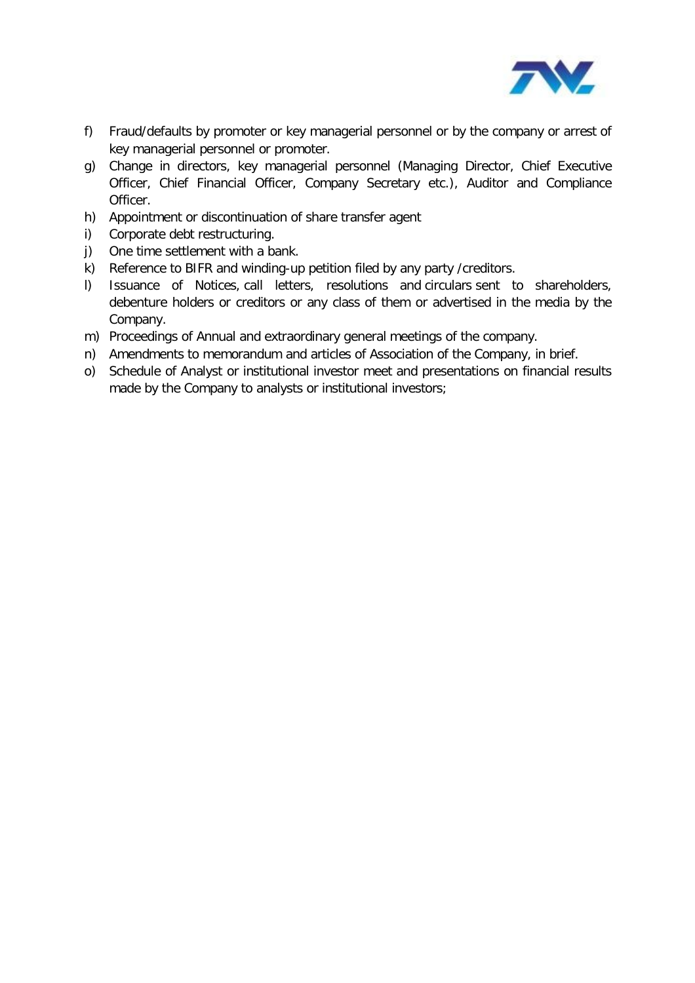

- f) Fraud/defaults by promoter or key managerial personnel or by the company or arrest of key managerial personnel or promoter.
- g) Change in directors, key managerial personnel (Managing Director, Chief Executive Officer, Chief Financial Officer, Company Secretary etc.), Auditor and Compliance Officer.
- h) Appointment or discontinuation of share transfer agent
- i) Corporate debt restructuring.
- j) One time settlement with a bank.
- k) Reference to BIFR and winding-up petition filed by any party /creditors.
- l) Issuance of Notices, call letters, resolutions and circulars sent to shareholders, debenture holders or creditors or any class of them or advertised in the media by the Company.
- m) Proceedings of Annual and extraordinary general meetings of the company.
- n) Amendments to memorandum and articles of Association of the Company, in brief.
- o) Schedule of Analyst or institutional investor meet and presentations on financial results made by the Company to analysts or institutional investors;